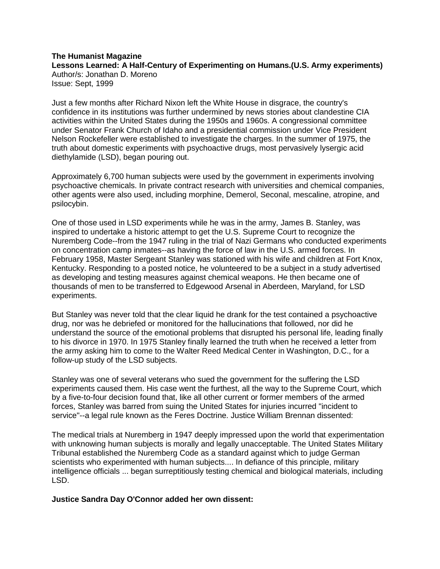## **The Humanist Magazine Lessons Learned: A Half-Century of Experimenting on Humans.(U.S. Army experiments)** Author/s: Jonathan D. Moreno Issue: Sept, 1999

Just a few months after Richard Nixon left the White House in disgrace, the country's confidence in its institutions was further undermined by news stories about clandestine CIA activities within the United States during the 1950s and 1960s. A congressional committee under Senator Frank Church of Idaho and a presidential commission under Vice President Nelson Rockefeller were established to investigate the charges. In the summer of 1975, the truth about domestic experiments with psychoactive drugs, most pervasively lysergic acid diethylamide (LSD), began pouring out.

Approximately 6,700 human subjects were used by the government in experiments involving psychoactive chemicals. In private contract research with universities and chemical companies, other agents were also used, including morphine, Demerol, Seconal, mescaline, atropine, and psilocybin.

One of those used in LSD experiments while he was in the army, James B. Stanley, was inspired to undertake a historic attempt to get the U.S. Supreme Court to recognize the Nuremberg Code--from the 1947 ruling in the trial of Nazi Germans who conducted experiments on concentration camp inmates--as having the force of law in the U.S. armed forces. In February 1958, Master Sergeant Stanley was stationed with his wife and children at Fort Knox, Kentucky. Responding to a posted notice, he volunteered to be a subject in a study advertised as developing and testing measures against chemical weapons. He then became one of thousands of men to be transferred to Edgewood Arsenal in Aberdeen, Maryland, for LSD experiments.

But Stanley was never told that the clear liquid he drank for the test contained a psychoactive drug, nor was he debriefed or monitored for the hallucinations that followed, nor did he understand the source of the emotional problems that disrupted his personal life, leading finally to his divorce in 1970. In 1975 Stanley finally learned the truth when he received a letter from the army asking him to come to the Walter Reed Medical Center in Washington, D.C., for a follow-up study of the LSD subjects.

Stanley was one of several veterans who sued the government for the suffering the LSD experiments caused them. His case went the furthest, all the way to the Supreme Court, which by a five-to-four decision found that, like all other current or former members of the armed forces, Stanley was barred from suing the United States for injuries incurred "incident to service"--a legal rule known as the Feres Doctrine. Justice William Brennan dissented:

The medical trials at Nuremberg in 1947 deeply impressed upon the world that experimentation with unknowing human subjects is morally and legally unacceptable. The United States Military Tribunal established the Nuremberg Code as a standard against which to judge German scientists who experimented with human subjects.... In defiance of this principle, military intelligence officials ... began surreptitiously testing chemical and biological materials, including LSD.

**Justice Sandra Day O'Connor added her own dissent:**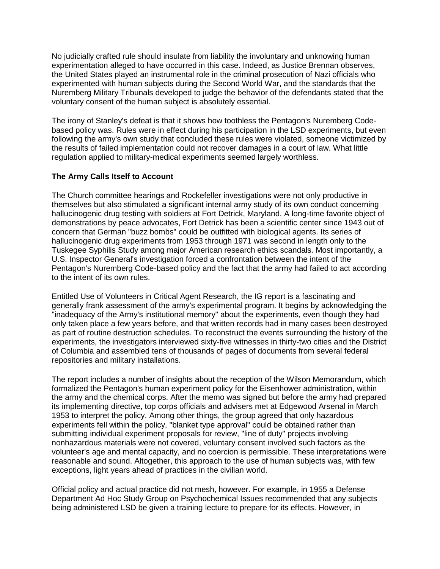No judicially crafted rule should insulate from liability the involuntary and unknowing human experimentation alleged to have occurred in this case. Indeed, as Justice Brennan observes, the United States played an instrumental role in the criminal prosecution of Nazi officials who experimented with human subjects during the Second World War, and the standards that the Nuremberg Military Tribunals developed to judge the behavior of the defendants stated that the voluntary consent of the human subject is absolutely essential.

The irony of Stanley's defeat is that it shows how toothless the Pentagon's Nuremberg Codebased policy was. Rules were in effect during his participation in the LSD experiments, but even following the army's own study that concluded these rules were violated, someone victimized by the results of failed implementation could not recover damages in a court of law. What little regulation applied to military-medical experiments seemed largely worthless.

# **The Army Calls Itself to Account**

The Church committee hearings and Rockefeller investigations were not only productive in themselves but also stimulated a significant internal army study of its own conduct concerning hallucinogenic drug testing with soldiers at Fort Detrick, Maryland. A long-time favorite object of demonstrations by peace advocates, Fort Detrick has been a scientific center since 1943 out of concern that German "buzz bombs" could be outfitted with biological agents. Its series of hallucinogenic drug experiments from 1953 through 1971 was second in length only to the Tuskegee Syphilis Study among major American research ethics scandals. Most importantly, a U.S. Inspector General's investigation forced a confrontation between the intent of the Pentagon's Nuremberg Code-based policy and the fact that the army had failed to act according to the intent of its own rules.

Entitled Use of Volunteers in Critical Agent Research, the IG report is a fascinating and generally frank assessment of the army's experimental program. It begins by acknowledging the "inadequacy of the Army's institutional memory" about the experiments, even though they had only taken place a few years before, and that written records had in many cases been destroyed as part of routine destruction schedules. To reconstruct the events surrounding the history of the experiments, the investigators interviewed sixty-five witnesses in thirty-two cities and the District of Columbia and assembled tens of thousands of pages of documents from several federal repositories and military installations.

The report includes a number of insights about the reception of the Wilson Memorandum, which formalized the Pentagon's human experiment policy for the Eisenhower administration, within the army and the chemical corps. After the memo was signed but before the army had prepared its implementing directive, top corps officials and advisers met at Edgewood Arsenal in March 1953 to interpret the policy. Among other things, the group agreed that only hazardous experiments fell within the policy, "blanket type approval" could be obtained rather than submitting individual experiment proposals for review, "line of duty" projects involving nonhazardous materials were not covered, voluntary consent involved such factors as the volunteer's age and mental capacity, and no coercion is permissible. These interpretations were reasonable and sound. Altogether, this approach to the use of human subjects was, with few exceptions, light years ahead of practices in the civilian world.

Official policy and actual practice did not mesh, however. For example, in 1955 a Defense Department Ad Hoc Study Group on Psychochemical Issues recommended that any subjects being administered LSD be given a training lecture to prepare for its effects. However, in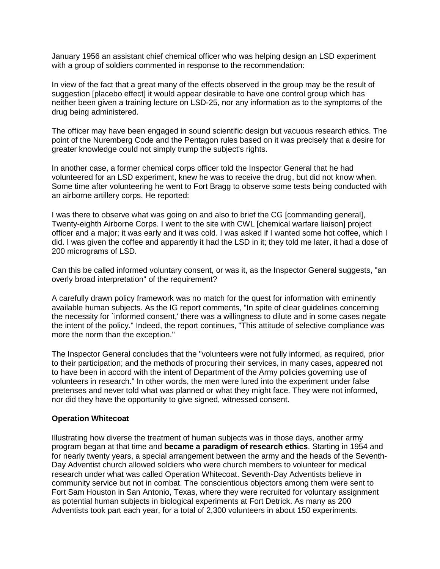January 1956 an assistant chief chemical officer who was helping design an LSD experiment with a group of soldiers commented in response to the recommendation:

In view of the fact that a great many of the effects observed in the group may be the result of suggestion [placebo effect] it would appear desirable to have one control group which has neither been given a training lecture on LSD-25, nor any information as to the symptoms of the drug being administered.

The officer may have been engaged in sound scientific design but vacuous research ethics. The point of the Nuremberg Code and the Pentagon rules based on it was precisely that a desire for greater knowledge could not simply trump the subject's rights.

In another case, a former chemical corps officer told the Inspector General that he had volunteered for an LSD experiment, knew he was to receive the drug, but did not know when. Some time after volunteering he went to Fort Bragg to observe some tests being conducted with an airborne artillery corps. He reported:

I was there to observe what was going on and also to brief the CG [commanding general], Twenty-eighth Airborne Corps. I went to the site with CWL [chemical warfare liaison] project officer and a major; it was early and it was cold. I was asked if I wanted some hot coffee, which I did. I was given the coffee and apparently it had the LSD in it; they told me later, it had a dose of 200 micrograms of LSD.

Can this be called informed voluntary consent, or was it, as the Inspector General suggests, "an overly broad interpretation" of the requirement?

A carefully drawn policy framework was no match for the quest for information with eminently available human subjects. As the IG report comments, "In spite of clear guidelines concerning the necessity for `informed consent,' there was a willingness to dilute and in some cases negate the intent of the policy." Indeed, the report continues, "This attitude of selective compliance was more the norm than the exception."

The Inspector General concludes that the "volunteers were not fully informed, as required, prior to their participation; and the methods of procuring their services, in many cases, appeared not to have been in accord with the intent of Department of the Army policies governing use of volunteers in research." In other words, the men were lured into the experiment under false pretenses and never told what was planned or what they might face. They were not informed, nor did they have the opportunity to give signed, witnessed consent.

### **Operation Whitecoat**

Illustrating how diverse the treatment of human subjects was in those days, another army program began at that time and **became a paradigm of research ethics**. Starting in 1954 and for nearly twenty years, a special arrangement between the army and the heads of the Seventh-Day Adventist church allowed soldiers who were church members to volunteer for medical research under what was called Operation Whitecoat. Seventh-Day Adventists believe in community service but not in combat. The conscientious objectors among them were sent to Fort Sam Houston in San Antonio, Texas, where they were recruited for voluntary assignment as potential human subjects in biological experiments at Fort Detrick. As many as 200 Adventists took part each year, for a total of 2,300 volunteers in about 150 experiments.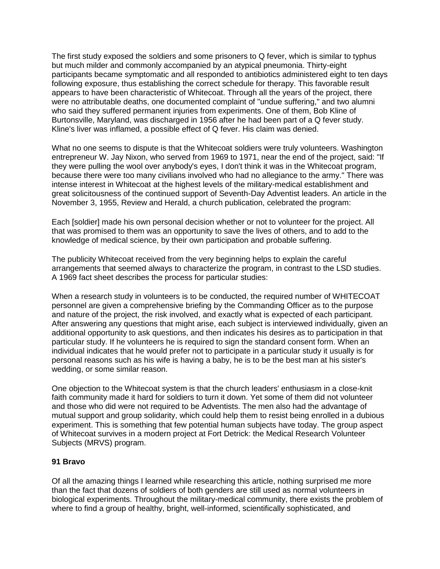The first study exposed the soldiers and some prisoners to Q fever, which is similar to typhus but much milder and commonly accompanied by an atypical pneumonia. Thirty-eight participants became symptomatic and all responded to antibiotics administered eight to ten days following exposure, thus establishing the correct schedule for therapy. This favorable result appears to have been characteristic of Whitecoat. Through all the years of the project, there were no attributable deaths, one documented complaint of "undue suffering," and two alumni who said they suffered permanent injuries from experiments. One of them, Bob Kline of Burtonsville, Maryland, was discharged in 1956 after he had been part of a Q fever study. Kline's liver was inflamed, a possible effect of Q fever. His claim was denied.

What no one seems to dispute is that the Whitecoat soldiers were truly volunteers. Washington entrepreneur W. Jay Nixon, who served from 1969 to 1971, near the end of the project, said: "If they were pulling the wool over anybody's eyes, I don't think it was in the Whitecoat program, because there were too many civilians involved who had no allegiance to the army." There was intense interest in Whitecoat at the highest levels of the military-medical establishment and great solicitousness of the continued support of Seventh-Day Adventist leaders. An article in the November 3, 1955, Review and Herald, a church publication, celebrated the program:

Each [soldier] made his own personal decision whether or not to volunteer for the project. All that was promised to them was an opportunity to save the lives of others, and to add to the knowledge of medical science, by their own participation and probable suffering.

The publicity Whitecoat received from the very beginning helps to explain the careful arrangements that seemed always to characterize the program, in contrast to the LSD studies. A 1969 fact sheet describes the process for particular studies:

When a research study in volunteers is to be conducted, the required number of WHITECOAT personnel are given a comprehensive briefing by the Commanding Officer as to the purpose and nature of the project, the risk involved, and exactly what is expected of each participant. After answering any questions that might arise, each subject is interviewed individually, given an additional opportunity to ask questions, and then indicates his desires as to participation in that particular study. If he volunteers he is required to sign the standard consent form. When an individual indicates that he would prefer not to participate in a particular study it usually is for personal reasons such as his wife is having a baby, he is to be the best man at his sister's wedding, or some similar reason.

One objection to the Whitecoat system is that the church leaders' enthusiasm in a close-knit faith community made it hard for soldiers to turn it down. Yet some of them did not volunteer and those who did were not required to be Adventists. The men also had the advantage of mutual support and group solidarity, which could help them to resist being enrolled in a dubious experiment. This is something that few potential human subjects have today. The group aspect of Whitecoat survives in a modern project at Fort Detrick: the Medical Research Volunteer Subjects (MRVS) program.

## **91 Bravo**

Of all the amazing things I learned while researching this article, nothing surprised me more than the fact that dozens of soldiers of both genders are still used as normal volunteers in biological experiments. Throughout the military-medical community, there exists the problem of where to find a group of healthy, bright, well-informed, scientifically sophisticated, and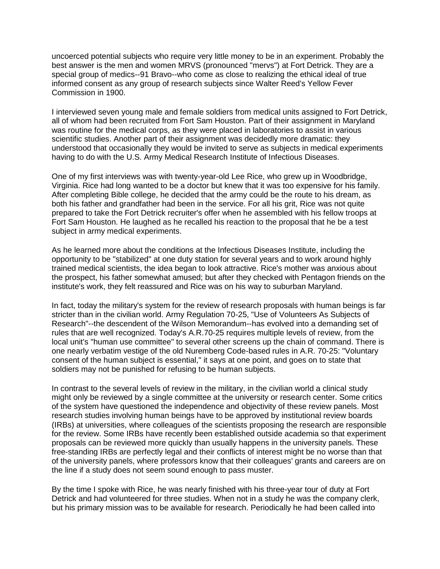uncoerced potential subjects who require very little money to be in an experiment. Probably the best answer is the men and women MRVS (pronounced "mervs") at Fort Detrick. They are a special group of medics--91 Bravo--who come as close to realizing the ethical ideal of true informed consent as any group of research subjects since Walter Reed's Yellow Fever Commission in 1900.

I interviewed seven young male and female soldiers from medical units assigned to Fort Detrick, all of whom had been recruited from Fort Sam Houston. Part of their assignment in Maryland was routine for the medical corps, as they were placed in laboratories to assist in various scientific studies. Another part of their assignment was decidedly more dramatic: they understood that occasionally they would be invited to serve as subjects in medical experiments having to do with the U.S. Army Medical Research Institute of Infectious Diseases.

One of my first interviews was with twenty-year-old Lee Rice, who grew up in Woodbridge, Virginia. Rice had long wanted to be a doctor but knew that it was too expensive for his family. After completing Bible college, he decided that the army could be the route to his dream, as both his father and grandfather had been in the service. For all his grit, Rice was not quite prepared to take the Fort Detrick recruiter's offer when he assembled with his fellow troops at Fort Sam Houston. He laughed as he recalled his reaction to the proposal that he be a test subject in army medical experiments.

As he learned more about the conditions at the Infectious Diseases Institute, including the opportunity to be "stabilized" at one duty station for several years and to work around highly trained medical scientists, the idea began to look attractive. Rice's mother was anxious about the prospect, his father somewhat amused; but after they checked with Pentagon friends on the institute's work, they felt reassured and Rice was on his way to suburban Maryland.

In fact, today the military's system for the review of research proposals with human beings is far stricter than in the civilian world. Army Regulation 70-25, "Use of Volunteers As Subjects of Research"--the descendent of the Wilson Memorandum--has evolved into a demanding set of rules that are well recognized. Today's A.R.70-25 requires multiple levels of review, from the local unit's "human use committee" to several other screens up the chain of command. There is one nearly verbatim vestige of the old Nuremberg Code-based rules in A.R. 70-25: "Voluntary consent of the human subject is essential," it says at one point, and goes on to state that soldiers may not be punished for refusing to be human subjects.

In contrast to the several levels of review in the military, in the civilian world a clinical study might only be reviewed by a single committee at the university or research center. Some critics of the system have questioned the independence and objectivity of these review panels. Most research studies involving human beings have to be approved by institutional review boards (IRBs) at universities, where colleagues of the scientists proposing the research are responsible for the review. Some IRBs have recently been established outside academia so that experiment proposals can be reviewed more quickly than usually happens in the university panels. These free-standing IRBs are perfectly legal and their conflicts of interest might be no worse than that of the university panels, where professors know that their colleagues' grants and careers are on the line if a study does not seem sound enough to pass muster.

By the time I spoke with Rice, he was nearly finished with his three-year tour of duty at Fort Detrick and had volunteered for three studies. When not in a study he was the company clerk, but his primary mission was to be available for research. Periodically he had been called into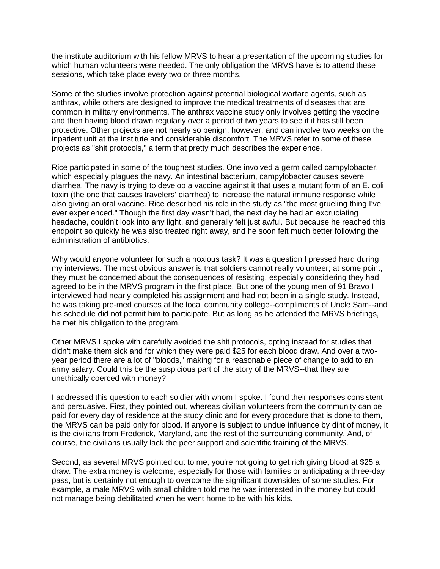the institute auditorium with his fellow MRVS to hear a presentation of the upcoming studies for which human volunteers were needed. The only obligation the MRVS have is to attend these sessions, which take place every two or three months.

Some of the studies involve protection against potential biological warfare agents, such as anthrax, while others are designed to improve the medical treatments of diseases that are common in military environments. The anthrax vaccine study only involves getting the vaccine and then having blood drawn regularly over a period of two years to see if it has still been protective. Other projects are not nearly so benign, however, and can involve two weeks on the inpatient unit at the institute and considerable discomfort. The MRVS refer to some of these projects as "shit protocols," a term that pretty much describes the experience.

Rice participated in some of the toughest studies. One involved a germ called campylobacter, which especially plagues the navy. An intestinal bacterium, campylobacter causes severe diarrhea. The navy is trying to develop a vaccine against it that uses a mutant form of an E. coli toxin (the one that causes travelers' diarrhea) to increase the natural immune response while also giving an oral vaccine. Rice described his role in the study as "the most grueling thing I've ever experienced." Though the first day wasn't bad, the next day he had an excruciating headache, couldn't look into any light, and generally felt just awful. But because he reached this endpoint so quickly he was also treated right away, and he soon felt much better following the administration of antibiotics.

Why would anyone volunteer for such a noxious task? It was a question I pressed hard during my interviews. The most obvious answer is that soldiers cannot really volunteer; at some point, they must be concerned about the consequences of resisting, especially considering they had agreed to be in the MRVS program in the first place. But one of the young men of 91 Bravo I interviewed had nearly completed his assignment and had not been in a single study. Instead, he was taking pre-med courses at the local community college--compliments of Uncle Sam--and his schedule did not permit him to participate. But as long as he attended the MRVS briefings, he met his obligation to the program.

Other MRVS I spoke with carefully avoided the shit protocols, opting instead for studies that didn't make them sick and for which they were paid \$25 for each blood draw. And over a twoyear period there are a lot of "bloods," making for a reasonable piece of change to add to an army salary. Could this be the suspicious part of the story of the MRVS--that they are unethically coerced with money?

I addressed this question to each soldier with whom I spoke. I found their responses consistent and persuasive. First, they pointed out, whereas civilian volunteers from the community can be paid for every day of residence at the study clinic and for every procedure that is done to them, the MRVS can be paid only for blood. If anyone is subject to undue influence by dint of money, it is the civilians from Frederick, Maryland, and the rest of the surrounding community. And, of course, the civilians usually lack the peer support and scientific training of the MRVS.

Second, as several MRVS pointed out to me, you're not going to get rich giving blood at \$25 a draw. The extra money is welcome, especially for those with families or anticipating a three-day pass, but is certainly not enough to overcome the significant downsides of some studies. For example, a male MRVS with small children told me he was interested in the money but could not manage being debilitated when he went home to be with his kids.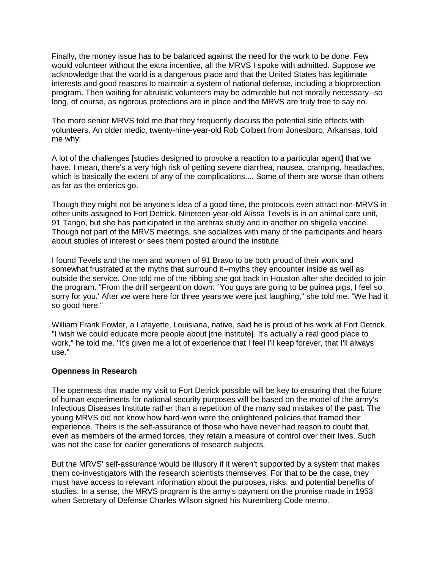Finally, the money issue has to be balanced against the need for the work to be done. Few would volunteer without the extra incentive, all the MRVS I spoke with admitted. Suppose we acknowledge that the world is a dangerous place and that the United States has legitimate interests and good reasons to maintain a system of national defense, including a bioprotection program. Then waiting for altruistic volunteers may be admirable but not morally necessary--so long, of course, as rigorous protections are in place and the MRVS are truly free to say no.

The more senior MRVS told me that they frequently discuss the potential side effects with volunteers. An older medic, twenty-nine-year-old Rob Colbert from Jonesboro, Arkansas, told me why:

A lot of the challenges [studies designed to provoke a reaction to a particular agent] that we have, I mean, there's a very high risk of getting severe diarrhea, nausea, cramping, headaches, which is basically the extent of any of the complications.... Some of them are worse than others as far as the enterics go.

Though they might not be anyone's idea of a good time, the protocols even attract non-MRVS in other units assigned to Fort Detrick. Nineteen-year-old Alissa Tevels is in an animal care unit, 91 Tango, but she has participated in the anthrax study and in another on shigella vaccine. Though not part of the MRVS meetings, she socializes with many of the participants and hears about studies of interest or sees them posted around the institute.

I found Tevels and the men and women of 91 Bravo to be both proud of their work and somewhat frustrated at the myths that surround it--myths they encounter inside as well as outside the service. One told me of the ribbing she got back in Houston after she decided to join the program. "From the drill sergeant on down: `You guys are going to be guinea pigs, I feel so sorry for you.' After we were here for three years we were just laughing," she told me. "We had it so good here."

William Frank Fowler, a Lafayette, Louisiana, native, said he is proud of his work at Fort Detrick. "I wish we could educate more people about [the institute]. It's actually a real good place to work," he told me. "It's given me a lot of experience that I feel I'll keep forever, that I'll always use."

### **Openness in Research**

The openness that made my visit to Fort Detrick possible will be key to ensuring that the future of human experiments for national security purposes will be based on the model of the army's Infectious Diseases Institute rather than a repetition of the many sad mistakes of the past. The young MRVS did not know how hard-won were the enlightened policies that framed their experience. Theirs is the self-assurance of those who have never had reason to doubt that, even as members of the armed forces, they retain a measure of control over their lives. Such was not the case for earlier generations of research subjects.

But the MRVS' self-assurance would be illusory if it weren't supported by a system that makes them co-investigators with the research scientists themselves. For that to be the case, they must have access to relevant information about the purposes, risks, and potential benefits of studies. In a sense, the MRVS program is the army's payment on the promise made in 1953 when Secretary of Defense Charles Wilson signed his Nuremberg Code memo.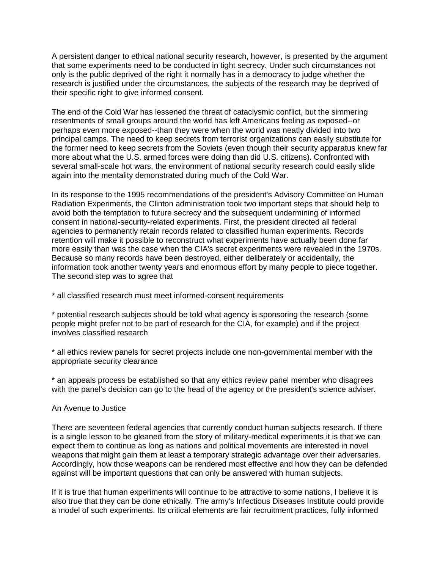A persistent danger to ethical national security research, however, is presented by the argument that some experiments need to be conducted in tight secrecy. Under such circumstances not only is the public deprived of the right it normally has in a democracy to judge whether the research is justified under the circumstances, the subjects of the research may be deprived of their specific right to give informed consent.

The end of the Cold War has lessened the threat of cataclysmic conflict, but the simmering resentments of small groups around the world has left Americans feeling as exposed--or perhaps even more exposed--than they were when the world was neatly divided into two principal camps. The need to keep secrets from terrorist organizations can easily substitute for the former need to keep secrets from the Soviets (even though their security apparatus knew far more about what the U.S. armed forces were doing than did U.S. citizens). Confronted with several small-scale hot wars, the environment of national security research could easily slide again into the mentality demonstrated during much of the Cold War.

In its response to the 1995 recommendations of the president's Advisory Committee on Human Radiation Experiments, the Clinton administration took two important steps that should help to avoid both the temptation to future secrecy and the subsequent undermining of informed consent in national-security-related experiments. First, the president directed all federal agencies to permanently retain records related to classified human experiments. Records retention will make it possible to reconstruct what experiments have actually been done far more easily than was the case when the CIA's secret experiments were revealed in the 1970s. Because so many records have been destroyed, either deliberately or accidentally, the information took another twenty years and enormous effort by many people to piece together. The second step was to agree that

\* all classified research must meet informed-consent requirements

\* potential research subjects should be told what agency is sponsoring the research (some people might prefer not to be part of research for the CIA, for example) and if the project involves classified research

\* all ethics review panels for secret projects include one non-governmental member with the appropriate security clearance

\* an appeals process be established so that any ethics review panel member who disagrees with the panel's decision can go to the head of the agency or the president's science adviser.

### An Avenue to Justice

There are seventeen federal agencies that currently conduct human subjects research. If there is a single lesson to be gleaned from the story of military-medical experiments it is that we can expect them to continue as long as nations and political movements are interested in novel weapons that might gain them at least a temporary strategic advantage over their adversaries. Accordingly, how those weapons can be rendered most effective and how they can be defended against will be important questions that can only be answered with human subjects.

If it is true that human experiments will continue to be attractive to some nations, I believe it is also true that they can be done ethically. The army's Infectious Diseases Institute could provide a model of such experiments. Its critical elements are fair recruitment practices, fully informed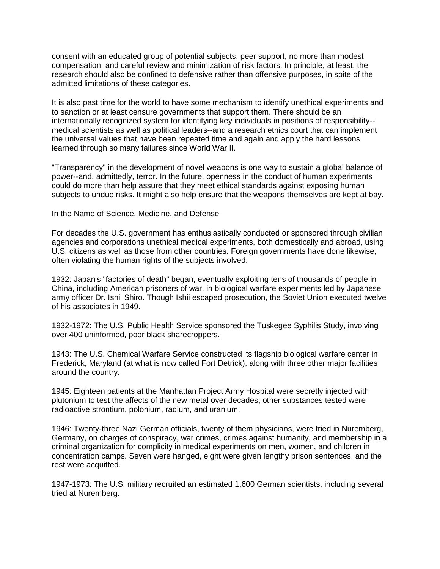consent with an educated group of potential subjects, peer support, no more than modest compensation, and careful review and minimization of risk factors. In principle, at least, the research should also be confined to defensive rather than offensive purposes, in spite of the admitted limitations of these categories.

It is also past time for the world to have some mechanism to identify unethical experiments and to sanction or at least censure governments that support them. There should be an internationally recognized system for identifying key individuals in positions of responsibility- medical scientists as well as political leaders--and a research ethics court that can implement the universal values that have been repeated time and again and apply the hard lessons learned through so many failures since World War II.

"Transparency" in the development of novel weapons is one way to sustain a global balance of power--and, admittedly, terror. In the future, openness in the conduct of human experiments could do more than help assure that they meet ethical standards against exposing human subjects to undue risks. It might also help ensure that the weapons themselves are kept at bay.

In the Name of Science, Medicine, and Defense

For decades the U.S. government has enthusiastically conducted or sponsored through civilian agencies and corporations unethical medical experiments, both domestically and abroad, using U.S. citizens as well as those from other countries. Foreign governments have done likewise, often violating the human rights of the subjects involved:

1932: Japan's "factories of death" began, eventually exploiting tens of thousands of people in China, including American prisoners of war, in biological warfare experiments led by Japanese army officer Dr. Ishii Shiro. Though Ishii escaped prosecution, the Soviet Union executed twelve of his associates in 1949.

1932-1972: The U.S. Public Health Service sponsored the Tuskegee Syphilis Study, involving over 400 uninformed, poor black sharecroppers.

1943: The U.S. Chemical Warfare Service constructed its flagship biological warfare center in Frederick, Maryland (at what is now called Fort Detrick), along with three other major facilities around the country.

1945: Eighteen patients at the Manhattan Project Army Hospital were secretly injected with plutonium to test the affects of the new metal over decades; other substances tested were radioactive strontium, polonium, radium, and uranium.

1946: Twenty-three Nazi German officials, twenty of them physicians, were tried in Nuremberg, Germany, on charges of conspiracy, war crimes, crimes against humanity, and membership in a criminal organization for complicity in medical experiments on men, women, and children in concentration camps. Seven were hanged, eight were given lengthy prison sentences, and the rest were acquitted.

1947-1973: The U.S. military recruited an estimated 1,600 German scientists, including several tried at Nuremberg.